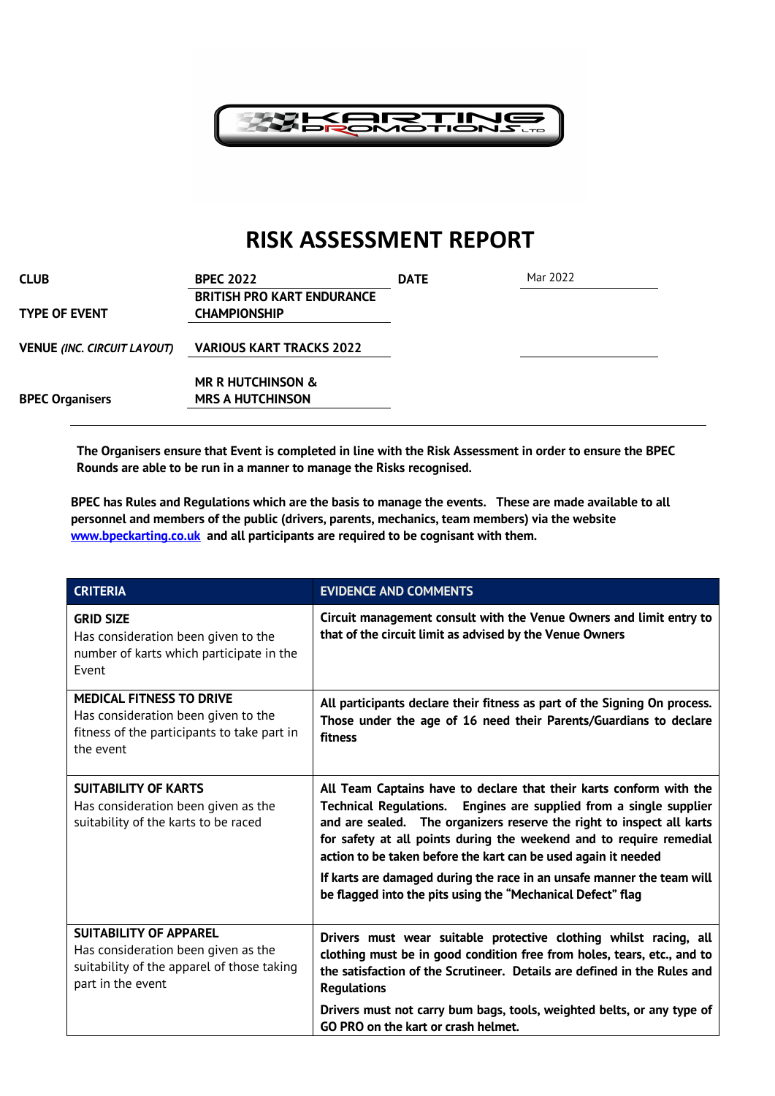

## **RISK ASSESSMENT REPORT**

| CLUB                               | <b>BPEC 2022</b>                                         | <b>DATE</b> | Mar 2022 |  |
|------------------------------------|----------------------------------------------------------|-------------|----------|--|
| TYPE OF EVENT                      | <b>BRITISH PRO KART ENDURANCE</b><br><b>CHAMPIONSHIP</b> |             |          |  |
| VENUE <i>(INC. CIRCUIT LAYOUT)</i> | <b>VARIOUS KART TRACKS 2022</b>                          |             |          |  |
|                                    | <b>MR R HUTCHINSON &amp;</b>                             |             |          |  |
| <b>BPEC Organisers</b>             | <b>MRS A HUTCHINSON</b>                                  |             |          |  |

**The Organisers ensure that Event is completed in line with the Risk Assessment in order to ensure the BPEC Rounds are able to be run in a manner to manage the Risks recognised.**

**BPEC has Rules and Regulations which are the basis to manage the events. These are made available to all personnel and members of the public (drivers, parents, mechanics, team members) via the website www.bpeckarting.co.uk and all participants are required to be cognisant with them.**

| <b>CRITERIA</b>                                                                                                                         | <b>EVIDENCE AND COMMENTS</b>                                                                                                                                                                                                                                                                                                                                |
|-----------------------------------------------------------------------------------------------------------------------------------------|-------------------------------------------------------------------------------------------------------------------------------------------------------------------------------------------------------------------------------------------------------------------------------------------------------------------------------------------------------------|
| <b>GRID SIZE</b><br>Has consideration been given to the<br>number of karts which participate in the<br>Event                            | Circuit management consult with the Venue Owners and limit entry to<br>that of the circuit limit as advised by the Venue Owners                                                                                                                                                                                                                             |
| <b>MEDICAL FITNESS TO DRIVE</b><br>Has consideration been given to the<br>fitness of the participants to take part in<br>the event      | All participants declare their fitness as part of the Signing On process.<br>Those under the age of 16 need their Parents/Guardians to declare<br>fitness                                                                                                                                                                                                   |
| <b>SUITABILITY OF KARTS</b><br>Has consideration been given as the<br>suitability of the karts to be raced                              | All Team Captains have to declare that their karts conform with the<br>Technical Regulations. Engines are supplied from a single supplier<br>and are sealed. The organizers reserve the right to inspect all karts<br>for safety at all points during the weekend and to require remedial<br>action to be taken before the kart can be used again it needed |
|                                                                                                                                         | If karts are damaged during the race in an unsafe manner the team will<br>be flagged into the pits using the "Mechanical Defect" flag                                                                                                                                                                                                                       |
| <b>SUITABILITY OF APPAREL</b><br>Has consideration been given as the<br>suitability of the apparel of those taking<br>part in the event | Drivers must wear suitable protective clothing whilst racing, all<br>clothing must be in good condition free from holes, tears, etc., and to<br>the satisfaction of the Scrutineer. Details are defined in the Rules and<br><b>Regulations</b>                                                                                                              |
|                                                                                                                                         | Drivers must not carry bum bags, tools, weighted belts, or any type of<br>GO PRO on the kart or crash helmet.                                                                                                                                                                                                                                               |